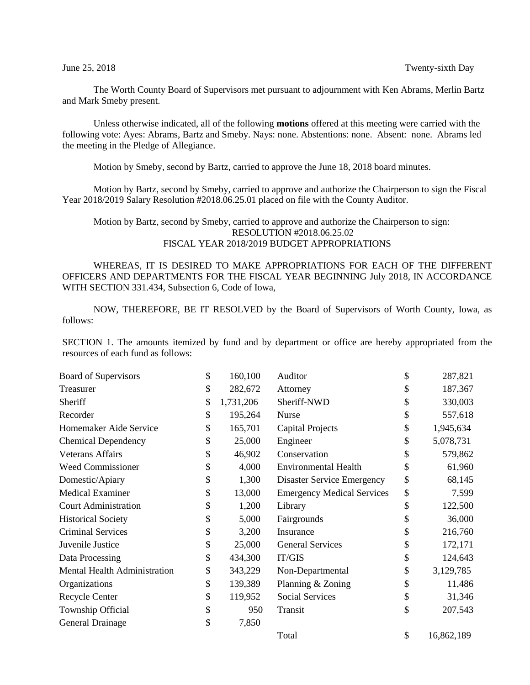The Worth County Board of Supervisors met pursuant to adjournment with Ken Abrams, Merlin Bartz and Mark Smeby present.

Unless otherwise indicated, all of the following **motions** offered at this meeting were carried with the following vote: Ayes: Abrams, Bartz and Smeby. Nays: none. Abstentions: none. Absent: none. Abrams led the meeting in the Pledge of Allegiance.

Motion by Smeby, second by Bartz, carried to approve the June 18, 2018 board minutes.

Motion by Bartz, second by Smeby, carried to approve and authorize the Chairperson to sign the Fiscal Year 2018/2019 Salary Resolution #2018.06.25.01 placed on file with the County Auditor.

## Motion by Bartz, second by Smeby, carried to approve and authorize the Chairperson to sign: RESOLUTION #2018.06.25.02 FISCAL YEAR 2018/2019 BUDGET APPROPRIATIONS

WHEREAS, IT IS DESIRED TO MAKE APPROPRIATIONS FOR EACH OF THE DIFFERENT OFFICERS AND DEPARTMENTS FOR THE FISCAL YEAR BEGINNING July 2018, IN ACCORDANCE WITH SECTION 331.434, Subsection 6, Code of Iowa,

NOW, THEREFORE, BE IT RESOLVED by the Board of Supervisors of Worth County, Iowa, as follows:

SECTION 1. The amounts itemized by fund and by department or office are hereby appropriated from the resources of each fund as follows:

| Board of Supervisors         | \$<br>160,100   | Auditor                           | \$<br>287,821    |
|------------------------------|-----------------|-----------------------------------|------------------|
| Treasurer                    | \$<br>282,672   | Attorney                          | \$<br>187,367    |
| Sheriff                      | \$<br>1,731,206 | Sheriff-NWD                       | \$<br>330,003    |
| Recorder                     | \$<br>195,264   | <b>Nurse</b>                      | \$<br>557,618    |
| Homemaker Aide Service       | \$<br>165,701   | <b>Capital Projects</b>           | \$<br>1,945,634  |
| <b>Chemical Dependency</b>   | \$<br>25,000    | Engineer                          | \$<br>5,078,731  |
| <b>Veterans Affairs</b>      | \$<br>46,902    | Conservation                      | \$<br>579,862    |
| <b>Weed Commissioner</b>     | \$<br>4,000     | <b>Environmental Health</b>       | \$<br>61,960     |
| Domestic/Apiary              | \$<br>1,300     | Disaster Service Emergency        | \$<br>68,145     |
| <b>Medical Examiner</b>      | \$<br>13,000    | <b>Emergency Medical Services</b> | \$<br>7,599      |
| <b>Court Administration</b>  | \$<br>1,200     | Library                           | \$<br>122,500    |
| <b>Historical Society</b>    | \$<br>5,000     | Fairgrounds                       | \$<br>36,000     |
| <b>Criminal Services</b>     | \$<br>3,200     | Insurance                         | \$<br>216,760    |
| Juvenile Justice             | \$<br>25,000    | <b>General Services</b>           | \$<br>172,171    |
| Data Processing              | \$<br>434,300   | IT/GIS                            | \$<br>124,643    |
| Mental Health Administration | \$<br>343,229   | Non-Departmental                  | \$<br>3,129,785  |
| Organizations                | \$<br>139,389   | Planning & Zoning                 | \$<br>11,486     |
| Recycle Center               | \$<br>119,952   | <b>Social Services</b>            | \$<br>31,346     |
| Township Official            | \$<br>950       | Transit                           | \$<br>207,543    |
| General Drainage             | \$<br>7,850     |                                   |                  |
|                              |                 | Total                             | \$<br>16,862,189 |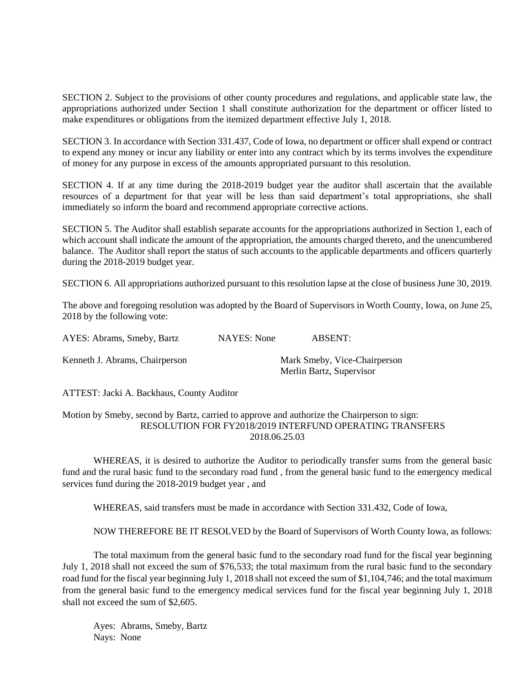SECTION 2. Subject to the provisions of other county procedures and regulations, and applicable state law, the appropriations authorized under Section 1 shall constitute authorization for the department or officer listed to make expenditures or obligations from the itemized department effective July 1, 2018.

SECTION 3. In accordance with Section 331.437, Code of Iowa, no department or officer shall expend or contract to expend any money or incur any liability or enter into any contract which by its terms involves the expenditure of money for any purpose in excess of the amounts appropriated pursuant to this resolution.

SECTION 4. If at any time during the 2018-2019 budget year the auditor shall ascertain that the available resources of a department for that year will be less than said department's total appropriations, she shall immediately so inform the board and recommend appropriate corrective actions.

SECTION 5. The Auditor shall establish separate accounts for the appropriations authorized in Section 1, each of which account shall indicate the amount of the appropriation, the amounts charged thereto, and the unencumbered balance. The Auditor shall report the status of such accounts to the applicable departments and officers quarterly during the 2018-2019 budget year.

SECTION 6. All appropriations authorized pursuant to this resolution lapse at the close of business June 30, 2019.

The above and foregoing resolution was adopted by the Board of Supervisors in Worth County, Iowa, on June 25, 2018 by the following vote:

| AYES: Abrams, Smeby, Bartz     | NAYES: None | ABSENT:                                                  |
|--------------------------------|-------------|----------------------------------------------------------|
| Kenneth J. Abrams, Chairperson |             | Mark Smeby, Vice-Chairperson<br>Merlin Bartz, Supervisor |

ATTEST: Jacki A. Backhaus, County Auditor

Motion by Smeby, second by Bartz, carried to approve and authorize the Chairperson to sign: RESOLUTION FOR FY2018/2019 INTERFUND OPERATING TRANSFERS 2018.06.25.03

WHEREAS, it is desired to authorize the Auditor to periodically transfer sums from the general basic fund and the rural basic fund to the secondary road fund , from the general basic fund to the emergency medical services fund during the 2018-2019 budget year , and

WHEREAS, said transfers must be made in accordance with Section 331.432, Code of Iowa,

NOW THEREFORE BE IT RESOLVED by the Board of Supervisors of Worth County Iowa, as follows:

The total maximum from the general basic fund to the secondary road fund for the fiscal year beginning July 1, 2018 shall not exceed the sum of \$76,533; the total maximum from the rural basic fund to the secondary road fund for the fiscal year beginning July 1, 2018 shall not exceed the sum of \$1,104,746; and the total maximum from the general basic fund to the emergency medical services fund for the fiscal year beginning July 1, 2018 shall not exceed the sum of \$2,605.

Ayes: Abrams, Smeby, Bartz Nays: None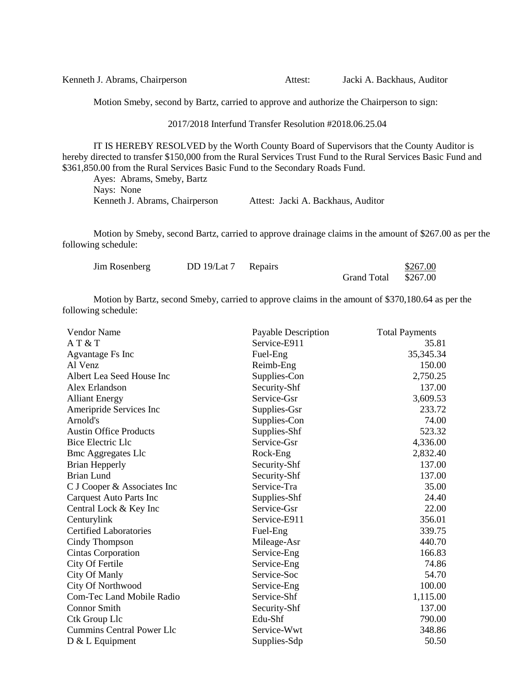| Kenneth J. Abrams, Chairperson | Attest: | Jacki A. Backhaus, Auditor |
|--------------------------------|---------|----------------------------|
|--------------------------------|---------|----------------------------|

Motion Smeby, second by Bartz, carried to approve and authorize the Chairperson to sign:

## 2017/2018 Interfund Transfer Resolution #2018.06.25.04

IT IS HEREBY RESOLVED by the Worth County Board of Supervisors that the County Auditor is hereby directed to transfer \$150,000 from the Rural Services Trust Fund to the Rural Services Basic Fund and \$361,850.00 from the Rural Services Basic Fund to the Secondary Roads Fund.

Ayes: Abrams, Smeby, Bartz Nays: None Kenneth J. Abrams, Chairperson Attest: Jacki A. Backhaus, Auditor

Motion by Smeby, second Bartz, carried to approve drainage claims in the amount of \$267.00 as per the following schedule:

| Jim Rosenberg | DD 19/Lat 7 Repairs |                      | \$267.00 |
|---------------|---------------------|----------------------|----------|
|               |                     | Grand Total \$267.00 |          |

Motion by Bartz, second Smeby, carried to approve claims in the amount of \$370,180.64 as per the following schedule:

| <b>Vendor Name</b>               | Payable Description | <b>Total Payments</b> |
|----------------------------------|---------------------|-----------------------|
| AT & T                           | Service-E911        | 35.81                 |
| Agvantage Fs Inc                 | Fuel-Eng            | 35, 345. 34           |
| Al Venz                          | Reimb-Eng           | 150.00                |
| Albert Lea Seed House Inc        | Supplies-Con        | 2,750.25              |
| Alex Erlandson                   | Security-Shf        | 137.00                |
| <b>Alliant Energy</b>            | Service-Gsr         | 3,609.53              |
| Ameripride Services Inc          | Supplies-Gsr        | 233.72                |
| Arnold's                         | Supplies-Con        | 74.00                 |
| <b>Austin Office Products</b>    | Supplies-Shf        | 523.32                |
| <b>Bice Electric Llc</b>         | Service-Gsr         | 4,336.00              |
| <b>Bmc Aggregates Llc</b>        | Rock-Eng            | 2,832.40              |
| <b>Brian Hepperly</b>            | Security-Shf        | 137.00                |
| <b>Brian Lund</b>                | Security-Shf        | 137.00                |
| C J Cooper & Associates Inc      | Service-Tra         | 35.00                 |
| <b>Carquest Auto Parts Inc</b>   | Supplies-Shf        | 24.40                 |
| Central Lock & Key Inc           | Service-Gsr         | 22.00                 |
| Centurylink                      | Service-E911        | 356.01                |
| <b>Certified Laboratories</b>    | Fuel-Eng            | 339.75                |
| Cindy Thompson                   | Mileage-Asr         | 440.70                |
| Cintas Corporation               | Service-Eng         | 166.83                |
| City Of Fertile                  | Service-Eng         | 74.86                 |
| City Of Manly                    | Service-Soc         | 54.70                 |
| <b>City Of Northwood</b>         | Service-Eng         | 100.00                |
| <b>Com-Tec Land Mobile Radio</b> | Service-Shf         | 1,115.00              |
| <b>Connor Smith</b>              | Security-Shf        | 137.00                |
| Ctk Group Llc                    | Edu-Shf             | 790.00                |
| <b>Cummins Central Power Llc</b> | Service-Wwt         | 348.86                |
| $D & L$ Equipment                | Supplies-Sdp        | 50.50                 |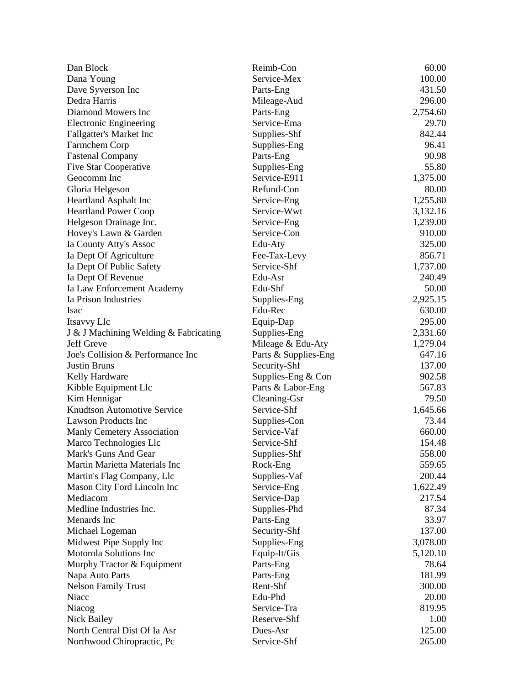| Dan Block                             | Reimb-Con            | 60.00    |
|---------------------------------------|----------------------|----------|
| Dana Young                            | Service-Mex          | 100.00   |
| Dave Syverson Inc                     | Parts-Eng            | 431.50   |
| Dedra Harris                          | Mileage-Aud          | 296.00   |
| Diamond Mowers Inc                    | Parts-Eng            | 2,754.60 |
| <b>Electronic Engineering</b>         | Service-Ema          | 29.70    |
| <b>Fallgatter's Market Inc</b>        | Supplies-Shf         | 842.44   |
| Farmchem Corp                         | Supplies-Eng         | 96.41    |
| <b>Fastenal Company</b>               | Parts-Eng            | 90.98    |
| <b>Five Star Cooperative</b>          | Supplies-Eng         | 55.80    |
| Geocomm Inc                           | Service-E911         | 1,375.00 |
| Gloria Helgeson                       | Refund-Con           | 80.00    |
| <b>Heartland Asphalt Inc</b>          | Service-Eng          | 1,255.80 |
| <b>Heartland Power Coop</b>           | Service-Wwt          | 3,132.16 |
| Helgeson Drainage Inc.                | Service-Eng          | 1,239.00 |
| Hovey's Lawn & Garden                 | Service-Con          | 910.00   |
| Ia County Atty's Assoc                | Edu-Aty              | 325.00   |
| Ia Dept Of Agriculture                | Fee-Tax-Levy         | 856.71   |
| Ia Dept Of Public Safety              | Service-Shf          | 1,737.00 |
| Ia Dept Of Revenue                    | Edu-Asr              | 240.49   |
| Ia Law Enforcement Academy            | Edu-Shf              | 50.00    |
| Ia Prison Industries                  | Supplies-Eng         | 2,925.15 |
| <b>Isac</b>                           | Edu-Rec              | 630.00   |
| Itsavvy Llc                           | Equip-Dap            | 295.00   |
| J & J Machining Welding & Fabricating | Supplies-Eng         | 2,331.60 |
| Jeff Greve                            | Mileage & Edu-Aty    | 1,279.04 |
| Joe's Collision & Performance Inc     | Parts & Supplies-Eng | 647.16   |
| <b>Justin Bruns</b>                   | Security-Shf         | 137.00   |
| Kelly Hardware                        | Supplies-Eng $&$ Con | 902.58   |
| Kibble Equipment Llc                  | Parts & Labor-Eng    | 567.83   |
| Kim Hennigar                          | Cleaning-Gsr         | 79.50    |
| <b>Knudtson Automotive Service</b>    | Service-Shf          | 1,645.66 |
| <b>Lawson Products Inc</b>            | Supplies-Con         | 73.44    |
| Manly Cemetery Association            | Service-Vaf          | 660.00   |
| Marco Technologies Llc                | Service-Shf          | 154.48   |
| Mark's Guns And Gear                  | Supplies-Shf         | 558.00   |
| Martin Marietta Materials Inc         | Rock-Eng             | 559.65   |
| Martin's Flag Company, Llc            | Supplies-Vaf         | 200.44   |
| Mason City Ford Lincoln Inc           | Service-Eng          | 1,622.49 |
| Mediacom                              | Service-Dap          | 217.54   |
| Medline Industries Inc.               | Supplies-Phd         | 87.34    |
| Menards Inc                           | Parts-Eng            | 33.97    |
| Michael Logeman                       | Security-Shf         | 137.00   |
| Midwest Pipe Supply Inc               | Supplies-Eng         | 3,078.00 |
| Motorola Solutions Inc                | Equip-It/Gis         | 5,120.10 |
| Murphy Tractor & Equipment            | Parts-Eng            | 78.64    |
| Napa Auto Parts                       | Parts-Eng            | 181.99   |
| <b>Nelson Family Trust</b>            | Rent-Shf             | 300.00   |
| Niacc                                 | Edu-Phd              | 20.00    |
| Niacog                                | Service-Tra          | 819.95   |
| Nick Bailey                           | Reserve-Shf          | 1.00     |
| North Central Dist Of Ia Asr          | Dues-Asr             | 125.00   |
| Northwood Chiropractic, Pc            | Service-Shf          | 265.00   |
|                                       |                      |          |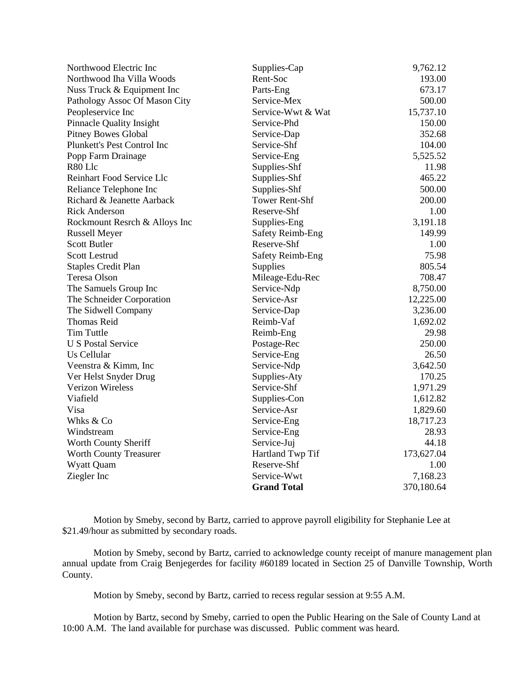| Northwood Electric Inc          | Supplies-Cap            | 9,762.12   |
|---------------------------------|-------------------------|------------|
| Northwood Iha Villa Woods       | Rent-Soc                | 193.00     |
| Nuss Truck & Equipment Inc      | Parts-Eng               | 673.17     |
| Pathology Assoc Of Mason City   | Service-Mex             | 500.00     |
| Peopleservice Inc               | Service-Wwt & Wat       | 15,737.10  |
| <b>Pinnacle Quality Insight</b> | Service-Phd             | 150.00     |
| <b>Pitney Bowes Global</b>      | Service-Dap             | 352.68     |
| Plunkett's Pest Control Inc     | Service-Shf             | 104.00     |
| Popp Farm Drainage              | Service-Eng             | 5,525.52   |
| R80 Llc                         | Supplies-Shf            | 11.98      |
| Reinhart Food Service Llc       | Supplies-Shf            | 465.22     |
| Reliance Telephone Inc          | Supplies-Shf            | 500.00     |
| Richard & Jeanette Aarback      | <b>Tower Rent-Shf</b>   | 200.00     |
| <b>Rick Anderson</b>            | Reserve-Shf             | 1.00       |
| Rockmount Resrch & Alloys Inc   | Supplies-Eng            | 3,191.18   |
| <b>Russell Meyer</b>            | <b>Safety Reimb-Eng</b> | 149.99     |
| <b>Scott Butler</b>             | Reserve-Shf             | 1.00       |
| <b>Scott Lestrud</b>            | Safety Reimb-Eng        | 75.98      |
| <b>Staples Credit Plan</b>      | <b>Supplies</b>         | 805.54     |
| Teresa Olson                    | Mileage-Edu-Rec         | 708.47     |
| The Samuels Group Inc           | Service-Ndp             | 8,750.00   |
| The Schneider Corporation       | Service-Asr             | 12,225.00  |
| The Sidwell Company             | Service-Dap             | 3,236.00   |
| <b>Thomas Reid</b>              | Reimb-Vaf               | 1,692.02   |
| <b>Tim Tuttle</b>               | Reimb-Eng               | 29.98      |
| <b>U S Postal Service</b>       | Postage-Rec             | 250.00     |
| Us Cellular                     | Service-Eng             | 26.50      |
| Veenstra & Kimm, Inc            | Service-Ndp             | 3,642.50   |
| Ver Helst Snyder Drug           | Supplies-Aty            | 170.25     |
| Verizon Wireless                | Service-Shf             | 1,971.29   |
| Viafield                        | Supplies-Con            | 1,612.82   |
| Visa                            | Service-Asr             | 1,829.60   |
| Whks & Co                       | Service-Eng             | 18,717.23  |
| Windstream                      | Service-Eng             | 28.93      |
| Worth County Sheriff            | Service-Juj             | 44.18      |
| <b>Worth County Treasurer</b>   | Hartland Twp Tif        | 173,627.04 |
| Wyatt Quam                      | Reserve-Shf             | 1.00       |
| Ziegler Inc                     | Service-Wwt             | 7,168.23   |
|                                 | <b>Grand Total</b>      | 370,180.64 |

Motion by Smeby, second by Bartz, carried to approve payroll eligibility for Stephanie Lee at \$21.49/hour as submitted by secondary roads.

Motion by Smeby, second by Bartz, carried to acknowledge county receipt of manure management plan annual update from Craig Benjegerdes for facility #60189 located in Section 25 of Danville Township, Worth County.

Motion by Smeby, second by Bartz, carried to recess regular session at 9:55 A.M.

Motion by Bartz, second by Smeby, carried to open the Public Hearing on the Sale of County Land at 10:00 A.M. The land available for purchase was discussed. Public comment was heard.